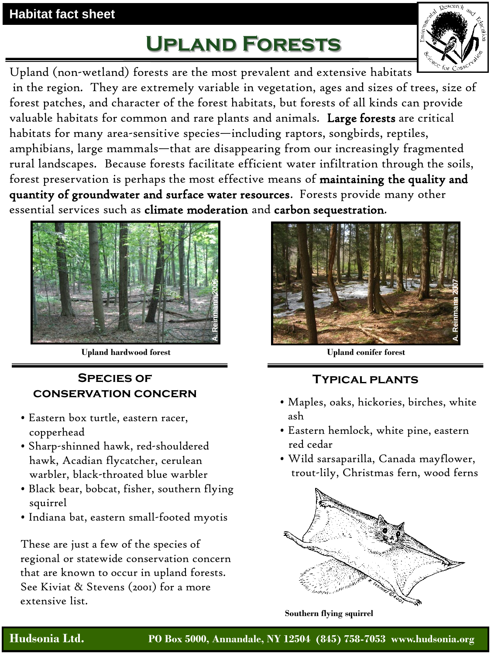### **Habitat fact sheet**

# **Upland Forests**



Upland (non-wetland) forests are the most prevalent and extensive habitats in the region. They are extremely variable in vegetation, ages and sizes of trees, size of forest patches, and character of the forest habitats, but forests of all kinds can provide valuable habitats for common and rare plants and animals. Large forests are critical habitats for many area-sensitive species—including raptors, songbirds, reptiles, amphibians, large mammals—that are disappearing from our increasingly fragmented rural landscapes. Because forests facilitate efficient water infiltration through the soils, forest preservation is perhaps the most effective means of maintaining the quality and quantity of groundwater and surface water resources. Forests provide many other essential services such as climate moderation and carbon sequestration.



**Upland hardwood forest**

#### **Species of conservation concern**

- Eastern box turtle, eastern racer, copperhead
- Sharp-shinned hawk, red-shouldered hawk, Acadian flycatcher, cerulean warbler, black-throated blue warbler
- Black bear, bobcat, fisher, southern flying squirrel
- Indiana bat, eastern small-footed myotis

These are just a few of the species of regional or statewide conservation concern that are known to occur in upland forests. See Kiviat & Stevens (2001) for a more extensive list.



**Upland conifer forest**

#### **Typical plants**

- Maples, oaks, hickories, birches, white ash
- Eastern hemlock, white pine, eastern red cedar
- Wild sarsaparilla, Canada mayflower, trout-lily, Christmas fern, wood ferns



**Southern flying squirrel**